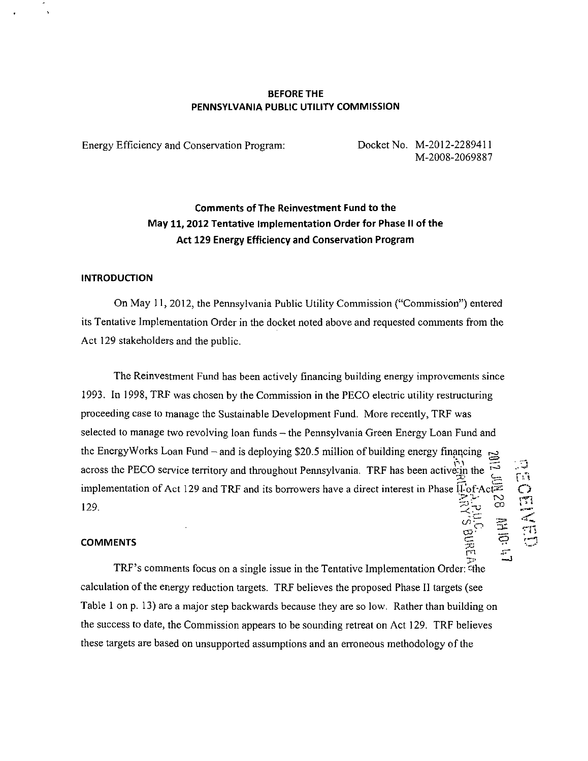### BEFORE THE PENNSYLVANIA PUBLIC UTILITY COMMISSION

Energy Efficiency and Conservation Program: Docket No. M-2012-2289411

M-2008-2069887

# Comments of The Reinvestment Fund to the May 11,2012 Tentative Implementation Order for Phase II of the Act 129 Energy Efficiency and Conservation Program

#### INTRODUCTION

On May 11, 2012, the Pennsylvania Public Utility Commission ("Commission") entered its Tentative Implementation Order in the docket noted above and requested comments from the Act 129 stakeholders and the public.

The Reinvestment Fund has been actively financing building energy improvements since 1993. In 1998, TRF was chosen by the Commission in the PECO electric utility restructuring proceeding case to manage the Sustainable Development Fund. More recently, TRF was selected to manage two revolving loan funds — the Pennsylvania Green Energy Loan Fund and the EnergyWorks Loan Fund  $-$  and is deploying \$20.5 million of building energy financing across the PECO service territory and throughout Pennsylvania. TRF has been activerin the implementation of Act 129 and TRF and its borrowers have a direct interest in Phase  $\overline{11}$  of Act $\overline{2}$ 129. 0 0  $\frac{1}{\sqrt{2}}$ co-  $\frac{1}{\sqrt{2}}$ co-  $\frac{1}{\sqrt{2}}$ co-  $\frac{1}{\sqrt{2}}$ co- Bu $\approx$  1.

### COMMENTS ^

TRF's comments focus on a single issue in the Tentative Implementation Order: the calculation of the energy reduction targets. TRF believes the proposed Phase II targets (see calculation of the energy reduction targets. The proposed Phase II targets (see Figure 2011). Table 1 on p. 13) are a major step backwards because they are so low. Rather than building on  $t_{\text{max}}$  to definition appears to be sounding retreat on  $H(t)$  and  $\theta$  in the believes these targets are based on unsupported assumptions and an erroneous methodology of the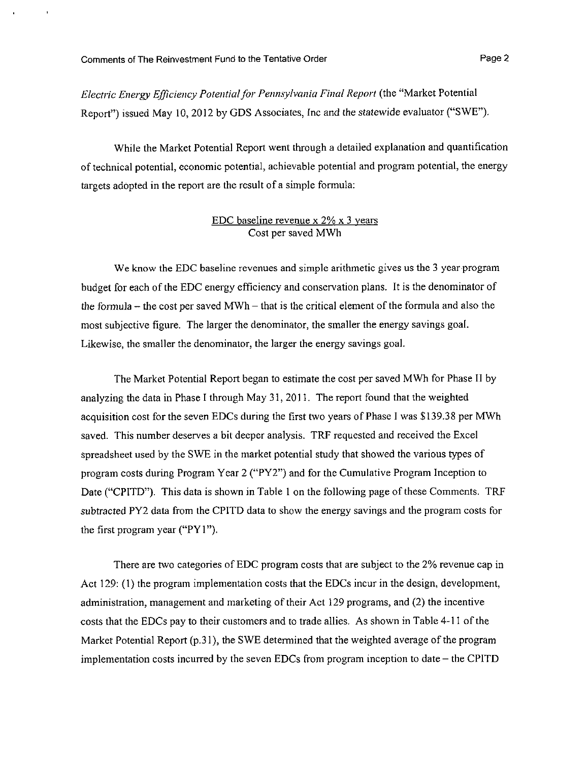Electric Energy Efficiency Potential for Pennsylvania Final Report (the "Market Potential Report") issued May 10, 2012 by GDS Associates, Inc and the statewide evaluator ("SWE").

While the Market Potential Report went through a detailed explanation and quantification of technical potential, economic potential, achievable potential and program potential, the energy targets adopted in the report are the result of a simple formula:

### EDC baseline revenue x 2% x 3 years Cost per saved MWh

We know the EDC baseline revenues and simple arithmetic gives us the 3 year program budget for each of the EDC energy efficiency and conservation plans. It is the denominator of the formula  $-$  the cost per saved MWh  $-$  that is the critical element of the formula and also the most subjective figure. The larger the denominator, the smaller the energy savings goal. Likewise, the smaller the denominator, the larger the energy savings goal.

The Market Potential Report began to estimate the cost per saved MWh for Phase II by analyzing the data in Phase I through May 31, 2011. The report found that the weighted acquisition cost for the seven EDCs during the first two years of Phase I was \$139.38 per MWh saved. This number deserves a bit deeper analysis. TRF requested and received the Excel spreadsheet used by the SWE in the market potential study that showed the various types of program costs during Program Year 2 ("PY2") and for the Cumulative Program Inception to Date ("CPITD"). This data is shown in Table 1 on the following page of these Comments. TRF subtracted PY2 data from the CPITD data to show the energy savings and the program costs for the first program year ("PYl").

There are two categories of EDC program costs that are subject to the 2% revenue cap in Act 129: (1) the program implementation costs that the EDCs incur in the design, development, administration, management and marketing of their Act 129 programs, and (2) the incentive costs that the EDCs pay to their customers and to trade allies. As shown in Table 4-11 of the Market Potential Report (p.31), the SWE determined that the weighted average of the program implementation costs incurred by the seven EDCs from program inception to date  $-$  the CPITD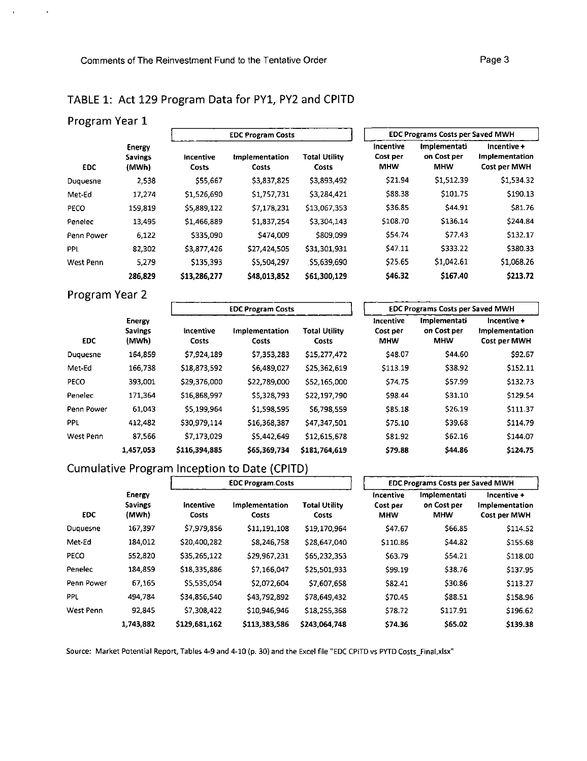# **TABLE 1: Act 129 Program Data for PYl, PY2 and CPITD**

## **Program Year 1**

|            | Energy<br><b>Savings</b><br>(MWh) |                    | <b>EDC Program Costs</b> |                        | EDL Programs Costs per Saved MWH    |                                           |                                               |  |
|------------|-----------------------------------|--------------------|--------------------------|------------------------|-------------------------------------|-------------------------------------------|-----------------------------------------------|--|
| EDC.       |                                   | Incentive<br>Costs | Implementation<br>Costs  | Total Utility<br>Costs | Incentive<br>Cost per<br><b>MHW</b> | Implementati<br>on Cost per<br><b>MHW</b> | Incentive +<br>Implementation<br>Cost per MWH |  |
| Duquesne   | 2,538                             | \$55,667           | \$3,837,825              | \$3,893,492            | \$21.94                             | \$1,512.39                                | \$1,534.32                                    |  |
| Met-Ed     | 17,274                            | \$1,526,690        | \$1,757,731              | \$3,284,421            | \$88.38                             | \$101.75                                  | \$190.13                                      |  |
| PECO       | 159,819                           | \$5,889,122        | \$7,178,231              | \$13,067,353           | \$36.85                             | \$44.91                                   | \$81.76                                       |  |
| Penelec    | 13,495                            | \$1.466,889        | \$1,837,254              | \$3,304.143            | \$108.70                            | \$136.14                                  | \$244.84                                      |  |
| Penn Power | 6.122                             | \$335,090          | \$474,009                | \$809.099              | \$54.74                             | \$77.43                                   | \$132.17                                      |  |
| <b>PPL</b> | 82,302                            | \$3,877,426        | \$27,424,505             | \$31,301,931           | \$47.11                             | \$333.22                                  | \$380.33                                      |  |
| West Penn  | 5.279                             | \$135,393          | \$5,504,297              | \$5,639,690            | \$25.65                             | \$1,042.61                                | \$1,068.26                                    |  |
|            | 286,829                           | \$13,286,277       | \$48,013,852             | \$61,300.129           | \$46.32                             | \$167.40                                  | S213.72                                       |  |

| <b>EDC Program Costs</b>                                 |              | <b>EDC Programs Costs per Saved MWH</b> |                                           |                                               |  |  |  |
|----------------------------------------------------------|--------------|-----------------------------------------|-------------------------------------------|-----------------------------------------------|--|--|--|
| <b>Total Utility</b><br>Implementation<br>Costs<br>Costs |              | Incentive<br>Cost per<br><b>MHW</b>     | Implementati<br>on Cost per<br><b>MHW</b> | Incentive +<br>Implementation<br>Cost per MWH |  |  |  |
| \$3,837,825                                              | \$3,893,492  | \$21.94                                 | \$1,512.39                                | \$1,534.32                                    |  |  |  |
| \$1,757,731                                              | \$3,284,421  | \$88.38                                 | \$101.75                                  | \$190.13                                      |  |  |  |
| \$7,178,231                                              | \$13,067.353 | \$36.85                                 | \$44.91                                   | \$81.76                                       |  |  |  |
| \$1,837,254                                              | \$3,304.143  | \$108.70                                | \$136.14                                  | 5244.84                                       |  |  |  |
| \$474,009                                                | \$809.099    | \$54.74                                 | \$77.43                                   | \$132.17                                      |  |  |  |
| \$27,424,505                                             | \$31,301,931 | \$47.11                                 | \$333.22                                  | \$380.33                                      |  |  |  |
| \$5,504,297                                              | \$5,639,690  | \$25.65                                 | \$1,042.61                                | \$1,068.26                                    |  |  |  |
| \$48,013,852                                             | \$61,300.129 | \$46.32                                 | \$167.40                                  | S213.72                                       |  |  |  |

# **Program Year 2**

| Program Year 2 |                                          |                           |                          |                                      |                                     |                                           |                                               |  |  |
|----------------|------------------------------------------|---------------------------|--------------------------|--------------------------------------|-------------------------------------|-------------------------------------------|-----------------------------------------------|--|--|
|                |                                          |                           | <b>EDC Program Costs</b> |                                      |                                     | <b>EDC Programs Costs per Saved MWH</b>   |                                               |  |  |
| <b>EDC</b>     | <b>Energy</b><br><b>Savings</b><br>(MWh) | Incentive<br><b>Costs</b> | Implementation<br>Costs  | <b>Total Utility</b><br><b>Costs</b> | Incentive<br>Cost per<br><b>MHW</b> | Implementati<br>on Cost per<br><b>MHW</b> | Incentive +<br>Implementation<br>Cost per MWH |  |  |
| Duquesne       | 164,859                                  | \$7,924,189               | \$7,353,283              | \$15,277,472                         | \$48.07                             | \$44.60                                   | \$92.67                                       |  |  |
| Met-Ed         | 166,738                                  | \$18,873,592              | \$6,489,027              | \$25,362,619                         | \$113.19                            | \$38.92                                   | \$152.11                                      |  |  |
| PECO           | 393,001                                  | \$29,376,000              | \$22,789,000             | \$52,165,000                         | \$74.75                             | \$57.99                                   | \$132.73                                      |  |  |
| Penelec        | 171,364                                  | \$16,868,997              | \$5,328,793              | \$22,197,790                         | \$98.44                             | \$31.10                                   | 5129.54                                       |  |  |
| Penn Power     | 61.043                                   | \$5,199,964               | \$1,598,595              | \$6,798,559                          | \$85.18                             | \$26.19                                   | 5111 37                                       |  |  |
| <b>PPL</b>     | 412,482                                  | \$30,979,114              | \$16,368,387             | \$47,347,501                         | \$75.10                             | \$39.68                                   | 5114.79                                       |  |  |
| West Penn      | 87,566                                   | \$7,173,029               | \$5,442,649              | \$12,615,678                         | \$81.92                             | \$62.16                                   | \$144.07                                      |  |  |
|                | 1,457,053                                | \$116,394,885             | \$65,369,734             | \$181,764,619                        | \$79.88                             | <b>S44.86</b>                             | \$124.75                                      |  |  |

| <b>EDC Programs Costs per Saved MWH</b> |                                           |                                               |  |  |  |  |  |  |
|-----------------------------------------|-------------------------------------------|-----------------------------------------------|--|--|--|--|--|--|
| Incentive<br>Cost per<br><b>MHW</b>     | Implementati<br>on Cost per<br><b>MHW</b> | Incentive +<br>Implementation<br>Cost per MWH |  |  |  |  |  |  |
| \$48.07                                 | \$44.60                                   | \$92.67                                       |  |  |  |  |  |  |
| \$113.19                                | \$38.92                                   | \$152.11                                      |  |  |  |  |  |  |
| \$74.75                                 | \$57.99                                   | \$132.73                                      |  |  |  |  |  |  |
| \$98.44                                 | \$31.10                                   | 5129.54                                       |  |  |  |  |  |  |
| \$85.18                                 | \$26.19                                   | \$111.37                                      |  |  |  |  |  |  |
| \$75.10                                 | \$39.68                                   | \$114.79                                      |  |  |  |  |  |  |
| \$81.92                                 | \$62.16                                   | \$144.07                                      |  |  |  |  |  |  |
| \$79.88                                 | \$44.86                                   | \$124.75                                      |  |  |  |  |  |  |

## **Cumulative Program Inception to Date (CPITD)**

|            | Energy<br><b>Savings</b><br>(MWh) |                    | <b>EDC Program Costs</b> |                               |                                            | <b>EDC Programs Costs per Saved MWH</b>   |                                               |  |  |
|------------|-----------------------------------|--------------------|--------------------------|-------------------------------|--------------------------------------------|-------------------------------------------|-----------------------------------------------|--|--|
| <b>EDC</b> |                                   | incentive<br>Costs | Implementation<br>Costs  | <b>Total Utility</b><br>Costs | <b>Incentive</b><br>Cost per<br><b>MHW</b> | Implementati<br>on Cost per<br><b>MHW</b> | Incentive +<br>Implementation<br>Cost per MWH |  |  |
| Duquesne   | 167,397                           | \$7,979,856        | \$11,191,108             | \$19,170.964                  | \$47.67                                    | 566.85                                    | 5114.52                                       |  |  |
| Met-Ed     | 184.012                           | \$20,400,282       | \$8,246,758              | \$28,647,040                  | \$110.86                                   | \$44.82                                   | \$155.68                                      |  |  |
| PECO       | 552,820                           | \$35,265,122       | \$29,967,231             | \$65,232.353                  | \$63.79                                    | \$54.21                                   | \$118.00                                      |  |  |
| Penelec    | 184.859                           | \$18,335,886       | \$7,166,047              | \$25,501.933                  | \$99.19                                    | \$38.76                                   | \$137.95                                      |  |  |
| Penn Power | 67.165                            | \$5,535,054        | \$2.072.604              | \$7,607,658                   | \$82.41                                    | 530.86                                    | \$113.27                                      |  |  |
| PPL        | 494.784                           | \$34,856,540       | \$43,792,892             | \$78,649.432                  | \$70.45                                    | \$88.51                                   | \$158.96                                      |  |  |
| West Penn  | 92 845                            | \$7,308,422        | \$10,946,946             | \$18,255,368                  | \$78.72                                    | \$117.91                                  | \$196.62                                      |  |  |
|            | 1,743.882                         | \$129.681,162      | \$113,383,586            | \$243,064,748                 | \$74.36                                    | \$65.02                                   | \$139.38                                      |  |  |

Source: Market Potential Report, Tables 4-9 and 4-10 (p. 30) and the Excel file "EDC CPITD vs PYTD Costs\_Final.xlsx"

h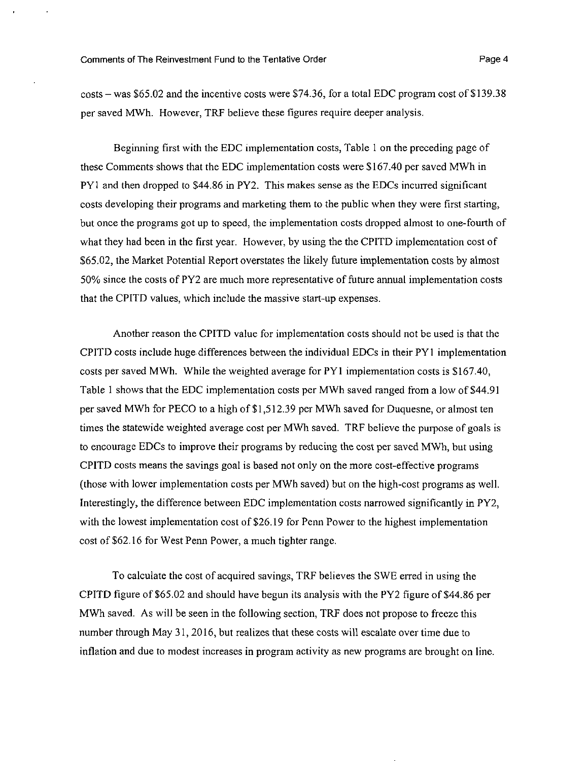costs-was \$65.02 and the incentive costs were \$74.36, for a total EDC program cost of \$139.38 per saved MWh. However, TRF believe these figures require deeper analysis.

Beginning first with the EDC implementation costs, Table 1 on the preceding page of these Comments shows that the EDC implementation costs were \$167.40 per saved MWh in P Yl and then dropped to \$44.86 in PY2. This makes sense as the EDCs incurred significant costs developing their programs and marketing them to the public when they were first starting, but once the programs got up to speed, the implementation costs dropped almost to one-fourth of what they had been in the first year. However, by using the the CPITD implementation cost of \$65.02, the Market Potential Report overstates the likely future implementation costs by almost 50% since the costs of PY2 are much more representative of future annual implementation costs that the CPITD values, which include the massive start-up expenses.

Another reason the CPITD value for implementation costs should not be used is that the CPITD costs include huge differences between the individual EDCs in their PYl implementation costs per saved MWh. While the weighted average for PY l implementation costs is \$167.40, Table 1 shows that the EDC implementation costs per MWh saved ranged from a low of \$44.91 per saved MWh for PECO to a high of \$1,512.39 per MWh saved for Duquesne, or almost ten times the statewide weighted average cost per MWh saved. TRF believe the purpose of goals is to encourage EDCs to improve their programs by reducing the cost per saved MWh, but using CPITD costs means the savings goal is based not only on the more cost-effective programs (those with lower implementation costs per MWh saved) but on the high-cost programs as well. Interestingly, the difference between EDC implementation costs narrowed significantly in PY2, with the lowest implementation cost of \$26.19 for Penn Power to the highest implementation cost of \$62.16 for West Penn Power, a much tighter range.

To calculate the cost of acquired savings, TRF believes the SWE erred in using the CPITD figure of \$65.02 and should have begun its analysis with the PY2 figure of \$44.86 per MWh saved. As will be seen in the following section, TRF does not propose to freeze this number through May 31,2016, but realizes that these costs will escalate over time due to inflation and due to modest increases in program activity as new programs are brought on line.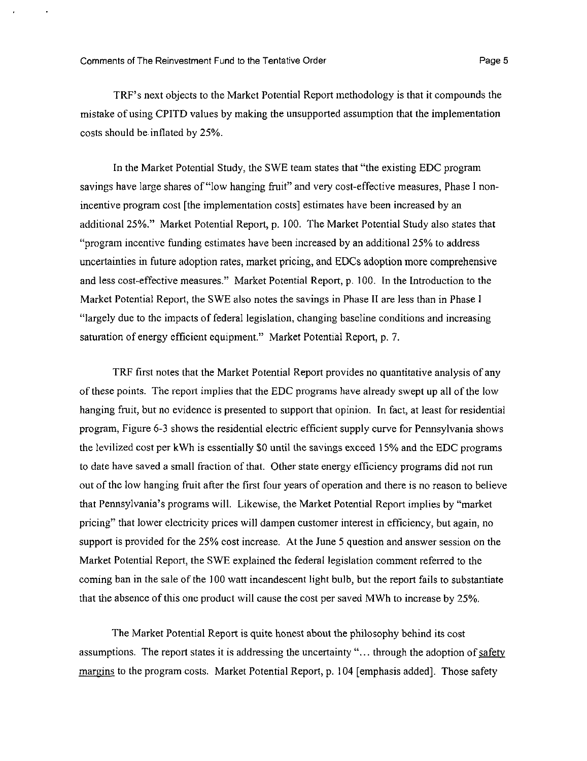TRF's next objects to the Market Potential Report methodology is that it compounds the mistake of using CPITD values by making the unsupported assumption that the implementation costs should be inflated by 25%.

In the Market Potential Study, the SWE team states that "the existing EDC program savings have large shares of "low hanging fruit" and very cost-effective measures, Phase I nonincentive program cost [the implementation costs] estimates have been increased by an additional 25%." Market Potential Report, p. 100. The Market Potential Study also states that "program incentive funding estimates have been increased by an additional 25% to address uncertainties in future adoption rates, market pricing, and EDCs adoption more comprehensive and less cost-effective measures." Market Potential Report, p. 100. In the Introduction to the Market Potential Report, the SWE also notes the savings in Phase II are less than in Phase I "largely due to the impacts of federal legislation, changing baseline conditions and increasing saturation of energy efficient equipment." Market Potential Report, p. 7.

TRF first notes that the Market Potential Report provides no quantitative analysis of any of these points. The report implies that the EDC programs have already swept up all of the low hanging fruit, but no evidence is presented to support that opinion. In fact, at least for residential program, Figure 6-3 shows the residential electric efficient supply curve for Pennsylvania shows the levilized cost per kWh is essentially SO until the savings exceed 15% and the EDC programs to date have saved a small fraction of that. Other state energy efficiency programs did not run out of the low hanging fruit after the first four years of operation and there is no reason to believe that Pennsylvania's programs will. Likewise, the Market Potential Report implies by "market pricing" that lower electricity prices will dampen customer interest in efficiency, but again, no support is provided for the 25% cost increase. At the June 5 question and answer session on the Market Potential Report, the SWE explained the federal legislation comment referred to the coming ban in the sale of the 100 watt incandescent light bulb, but the report fails to substantiate that the absence of this one product will cause the cost per saved MWh to increase by 25%.

The Market Potential Report is quite honest about the philosophy behind its cost assumptions. The report states it is addressing the uncertainty "... through the adoption of safety margins to the program costs. Market Potential Report, p. 104 [emphasis added]. Those safety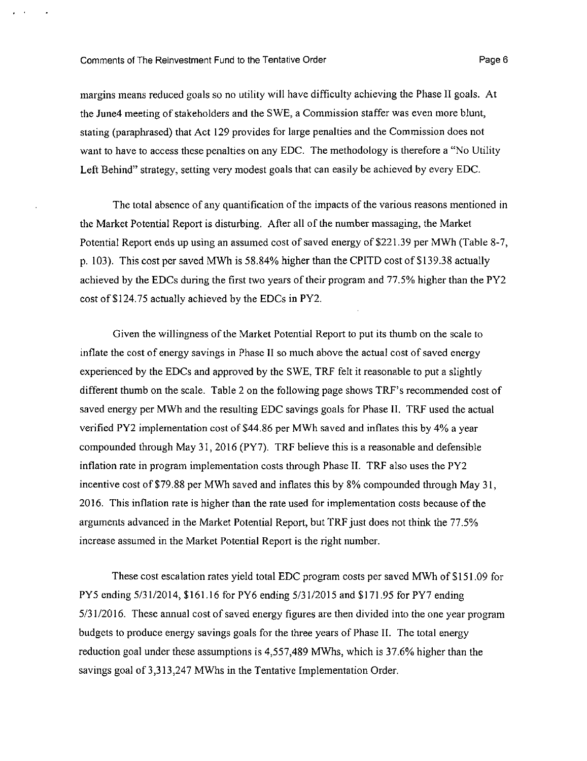#### Comments of The Reinvestment Fund to the Tentative Order **Page 10** Page 6

margins means reduced goals so no utility will have difficulty achieving the Phase 11 goals. At the June4 meeting of stakeholders and the SWE, a Commission staffer was even more blunt, stating (paraphrased) that Act 129 provides for large penalties and the Commission does not want to have to access these penalties on any EDC. The methodology is therefore a "No Utility" Left Behind" strategy, setting very modest goals that can easily be achieved by every EDC.

The total absence of any quantification of the impacts of the various reasons mentioned in the Market Potential Report is disturbing. After all of the number massaging, the Market Potential Report ends up using an assumed cost of saved energy of \$221.39 per MWh (Table 8-7, p. 103). This cost per saved MWh is 58.84% higher than the CPITD cost of \$139.38 actually achieved by the EDCs during the first two years of their program and 77.5% higher than the PY2 cost of \$124.75 actually achieved by the EDCs in PY2.

Given the willingness of the Market Potential Report to put its thumb on the scale to inflate the cost of energy savings in Phase II so much above the actual cost of saved energy experienced by the EDCs and approved by the SWE, TRF felt it reasonable to put a slightly different thumb on the scale. Table 2 on the following page shows TRF's recommended cost of saved energy per MWh and the resulting EDC savings goals for Phase II. TRF used the actual verified PY2 implementation cost of \$44.86 per MWh saved and inflates this by 4% a year compounded through May 31, 2016 (PY7). TRF believe this is a reasonable and defensible inflation rate in program implementation costs through Phase 11. TRF also uses the PY2 incentive cost of \$79.88 per MWh saved and inflates this by 8% compounded through May 31, 2016. This inflation rate is higher than the rate used for implementation costs because of the arguments advanced in the Market Potential Report, but TRF just does not think the 77.5% increase assumed in the Market Potential Report is the right number.

These cost escalation rates yield total EDC program costs per saved MWh of \$151.09 for PY5 ending 5/31/2014, \$161.16 for PY6 ending 5/31/2015 and \$171.95 for PY7 ending 5/31 /2016. These annual cost of saved energy figures are then divided into the one year program budgets to produce energy savings goals for the three years of Phase II. The total energy reduction goal under these assumptions is 4,557,489 MWhs, which is 37.6% higher than the savings goal of 3,313,247 MWhs in the Tentative Implementation Order.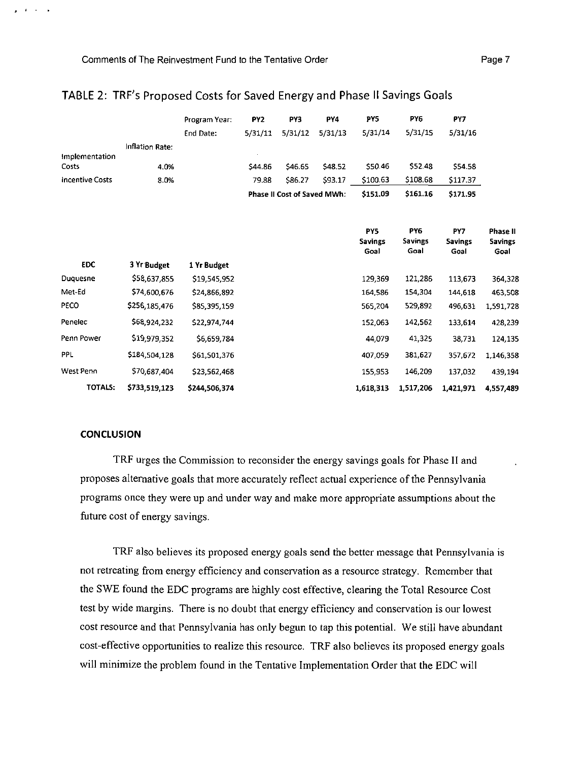|                         |                 | Program Year: | PY <sub>2</sub> | PY3                                | PY4     | PY5                           | PY6                           | PY7                    |                                    |
|-------------------------|-----------------|---------------|-----------------|------------------------------------|---------|-------------------------------|-------------------------------|------------------------|------------------------------------|
|                         |                 | End Date:     | 5/31/11         | 5/31/12                            | 5/31/13 | 5/31/14                       | 5/31/15                       | 5/31/16                |                                    |
|                         | Inflation Rate: |               |                 |                                    |         |                               |                               |                        |                                    |
| Implementation<br>Costs | 4.0%            |               | \$44.86         | \$46.65                            | \$48.52 | \$50.46                       | \$52.48                       | \$54.58                |                                    |
| <b>Incentive Costs</b>  | 8.0%            |               | 79.88           | \$86.27                            | \$93.17 | \$100.63                      | \$108.68                      | \$117.37               |                                    |
|                         |                 |               |                 | <b>Phase II Cost of Saved MWh:</b> |         | \$151.09                      | \$161.16                      | \$171.95               |                                    |
|                         |                 |               |                 |                                    |         | PY5<br><b>Savings</b><br>Goal | PY6<br><b>Savings</b><br>Goal | PY7<br>Savings<br>Goal | Phase II<br><b>Savings</b><br>Goal |
| <b>EDC</b>              | 3 Yr Budget     | 1 Yr Budget   |                 |                                    |         |                               |                               |                        |                                    |
| Duquesne                | \$58,637,855    | \$19,545,952  |                 |                                    |         | 129,369                       | 121,286                       | 113,673                | 364,328                            |
| Met-Ed                  | 574,600,676     | \$24,866,892  |                 |                                    |         | 164.586                       | 154,304                       | 144,618                | 463,508                            |
| PECO                    | \$256,185,476   | \$85,395,159  |                 |                                    |         | 565,204                       | 529,892                       | 496,631                | 1,591,728                          |
| Penelec                 | \$68,924,232    | \$22,974,744  |                 |                                    |         | 152,063                       | 142,562                       | 133,614                | 428,239                            |
| Penn Power              | \$19,979,352    | \$6,659,784   |                 |                                    |         | 44.079                        | 41,325                        | 38,731                 | 124,135                            |
| PPL                     | \$184,504,128   | \$61,501,376  |                 |                                    |         | 407 059                       | 381,627                       | 357,672                | 1.146,358                          |
| West Penn               | 570,687,404     | \$23,562,468  |                 |                                    |         | 155,953                       | 146,209                       | 137,032                | 439,194                            |
| TOTALS:                 | \$733,519,123   | \$244.506.374 |                 |                                    |         | 1,618,313                     | 1,517,206                     | 1.421,971              | 4,557,489                          |

## **TABLE 2: TRF's Proposed Costs for Saved Energy and Phase II Savings Goals**

#### **CONCLUSION**

 $\mathbf{y} = \mathbf{z} + \mathbf{z} + \mathbf{z}$ 

TRF urges the Commission to reconsider the energy savings goals for Phase II and proposes alternative goals that more accurately reflect actual experience of the Pennsylvania programs once they were up and under way and make more appropriate assumptions about the future cost of energy savings.

TRF also believes its proposed energy goals send the better message that Pennsylvania is not retreating from energy efficiency and conservation as a resource strategy. Remember that the SWE found the EDC programs are highly cost effective, clearing the Total Resource Cost test by wide margins. There is no doubt that energy efficiency and conservation is our lowest cost resource and that Pennsylvania has only begun to tap this potential. We still have abundant cost-effective opportunities to realize this resource. TRF also believes its proposed energy goals will minimize the problem found in the Tentative Implementation Order that the EDC will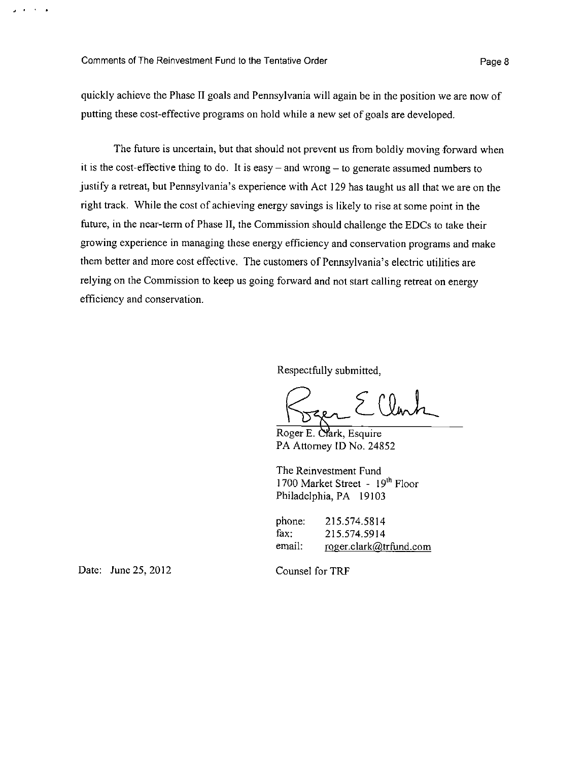$\sim$ **College** 

quickly achieve the Phase II goals and Pennsylvania will again be in the position we are now of putting these cost-effective programs on hold while a new set of goals are developed.

The future is uncertain, but that should not prevent us from boldly moving forward when it is the cost-effective thing to do. It is easy  $-$  and wrong  $-$  to generate assumed numbers to justify a retreat, but Pennsylvania's experience with Act 129 has taught us all that we are on the right track. While the cost of achieving energy savings is likely to rise at some point in the future, in the near-term of Phase II, the Commission should challenge the EDCs to take their growing experience in managing these energy efficiency and conservation programs and make them better and more cost effective. The customers of Pennsylvania's electric utilities are relying on the Commission to keep us going forward and not start calling retreat on energy efficiency and conservation.

Respectfully submitted,

Roger E. Cfark, Esquire PA Attorney ID No. 24852

The Reinvestment Fund 1700 Market Street - 19<sup>th</sup> Floor Philadelphia, PA 19103

phone: 215.574.5814 fax: 215.574.5914 email: roger.clark@trfund.com

Date: June 25, 2012

Counsel for TRF